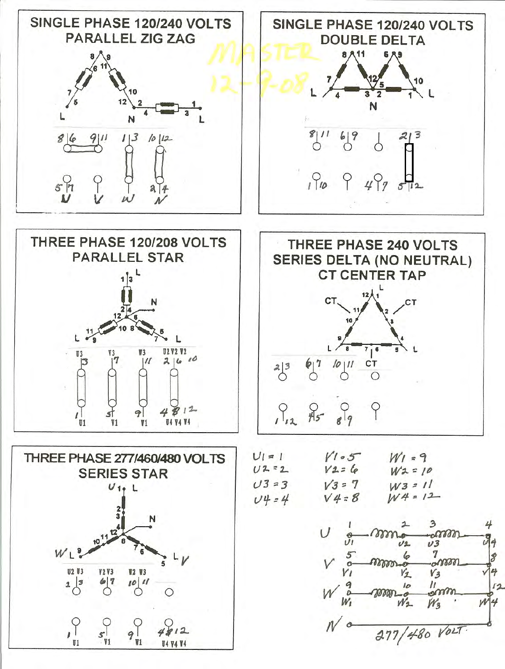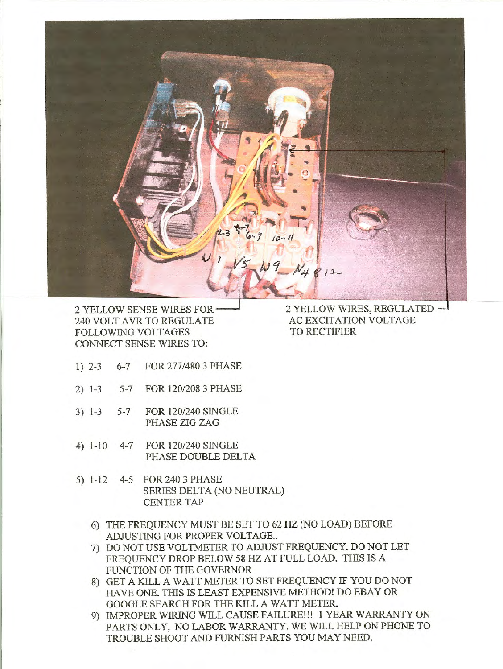

2 YELLOW SENSE WIRES FOR' 240 VOLT AVR TO REGULATE FOLLOWING VOLTAGES CONNECT SENSE WIRES TO:

- 1) 2-3 6-7 FOR 277/480 3 PHASE
- 2) 1-3 5-7 FOR 120/208 3 PHASE
- 3) 1-3 5-7 FOR 120/240 SINGLE PHASE ZIG ZAG
- 4) 1-10 4-7 FOR 120/240 SINGLE PHASE DOUBLE DELTA
- 5) 1-12 4-5 FOR 240 3 PHASE SERIES DELTA (NO NEUTRAL) CENTER TAP
	- 6) THE FREQUENCY MUST BE SET TO 62 HZ (NO LOAD) BEFORE ADJUSTING FOR PROPER VOLTAGE..
	- 7) DO NOT USE VOLTMETER TO ADJUST FREQUENCY. DO NOT LET FREQUENCY DROP BELOW 58 HZ AT FULL LOAD. THIS IS A FUNCTION OF THE GOVERNOR
	- 8) GET A KILL A WATT METER TO SET FREQUENCY IF YOU DO NOT HAVE ONE. THIS IS LEAST EXPENSIVE METHOD! DO EBAY OR GOOGLE SEARCH FOR THE KILL A WATT METER.
	- 9) IMPROPER WIRING WILL CAUSE FAILURE!!! 1 YEAR WARRANTY ON PARTS ONLY, NO LABOR WARRANTY. WE WILL HELP ON PHONE TO TROUBLE SHOOT AND FURNISH PARTS YOU MAY NEED.

2 YELLOW WIRES, REGULATED - AC EXCITATION VOLTAGE TO RECTIFIER